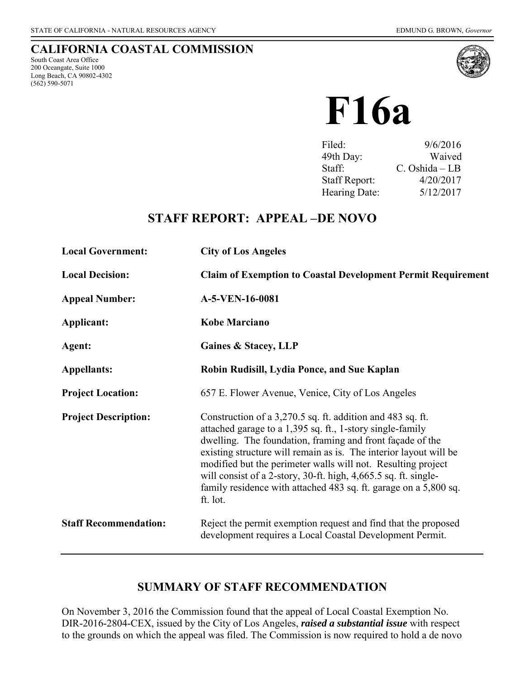## **CALIFORNIA COASTAL COMMISSION**

South Coast Area Office 200 Oceangate, Suite 1000 Long Beach, CA 90802-4302 (562) 590-5071



# **F16a**

| Filed:               | 9/6/2016         |
|----------------------|------------------|
| 49th Day:            | Waived           |
| Staff:               | $C.$ Oshida – LB |
| <b>Staff Report:</b> | 4/20/2017        |
| Hearing Date:        | 5/12/2017        |

## **STAFF REPORT: APPEAL –DE NOVO**

| <b>Local Government:</b>     | <b>City of Los Angeles</b>                                                                                                                                                                                                                                                                                                                                                                                                                                                   |  |  |
|------------------------------|------------------------------------------------------------------------------------------------------------------------------------------------------------------------------------------------------------------------------------------------------------------------------------------------------------------------------------------------------------------------------------------------------------------------------------------------------------------------------|--|--|
| <b>Local Decision:</b>       | <b>Claim of Exemption to Coastal Development Permit Requirement</b>                                                                                                                                                                                                                                                                                                                                                                                                          |  |  |
| <b>Appeal Number:</b>        | A-5-VEN-16-0081                                                                                                                                                                                                                                                                                                                                                                                                                                                              |  |  |
| Applicant:                   | <b>Kobe Marciano</b>                                                                                                                                                                                                                                                                                                                                                                                                                                                         |  |  |
| Agent:                       | Gaines & Stacey, LLP                                                                                                                                                                                                                                                                                                                                                                                                                                                         |  |  |
| <b>Appellants:</b>           | Robin Rudisill, Lydia Ponce, and Sue Kaplan                                                                                                                                                                                                                                                                                                                                                                                                                                  |  |  |
| <b>Project Location:</b>     | 657 E. Flower Avenue, Venice, City of Los Angeles                                                                                                                                                                                                                                                                                                                                                                                                                            |  |  |
| <b>Project Description:</b>  | Construction of a 3,270.5 sq. ft. addition and 483 sq. ft.<br>attached garage to a 1,395 sq. ft., 1-story single-family<br>dwelling. The foundation, framing and front façade of the<br>existing structure will remain as is. The interior layout will be<br>modified but the perimeter walls will not. Resulting project<br>will consist of a 2-story, 30-ft. high, 4,665.5 sq. ft. single-<br>family residence with attached 483 sq. ft. garage on a 5,800 sq.<br>ft. lot. |  |  |
| <b>Staff Recommendation:</b> | Reject the permit exemption request and find that the proposed<br>development requires a Local Coastal Development Permit.                                                                                                                                                                                                                                                                                                                                                   |  |  |

## **SUMMARY OF STAFF RECOMMENDATION**

On November 3, 2016 the Commission found that the appeal of Local Coastal Exemption No. DIR-2016-2804-CEX, issued by the City of Los Angeles, *raised a substantial issue* with respect to the grounds on which the appeal was filed. The Commission is now required to hold a de novo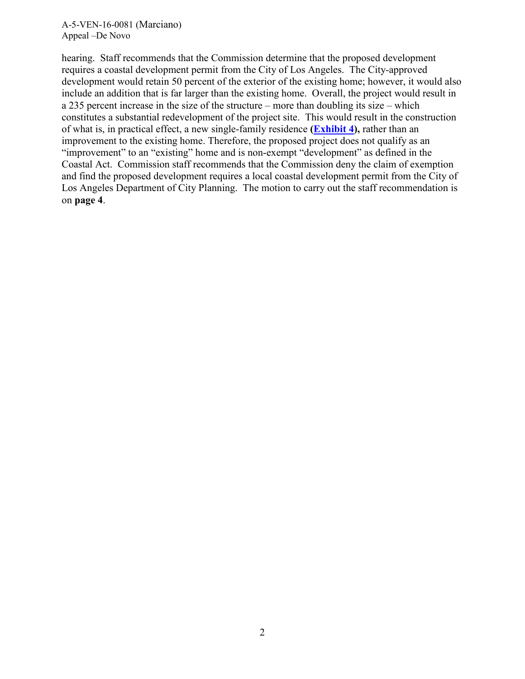#### A-5-VEN-16-0081 (Marciano) Appeal –De Novo

hearing. Staff recommends that the Commission determine that the proposed development requires a coastal development permit from the City of Los Angeles. The City-approved development would retain 50 percent of the exterior of the existing home; however, it would also include an addition that is far larger than the existing home. Overall, the project would result in a 235 percent increase in the size of the structure – more than doubling its size – which constitutes a substantial redevelopment of the project site. This would result in the construction of what is, in practical effect, a new single-family residence **[\(Exhibit 4\)](https://documents.coastal.ca.gov/reports/2017/5/f16a/f16a-5-2017-exhibits.pdf),** rather than an improvement to the existing home. Therefore, the proposed project does not qualify as an "improvement" to an "existing" home and is non-exempt "development" as defined in the Coastal Act. Commission staff recommends that the Commission deny the claim of exemption and find the proposed development requires a local coastal development permit from the City of Los Angeles Department of City Planning. The motion to carry out the staff recommendation is on **page 4**.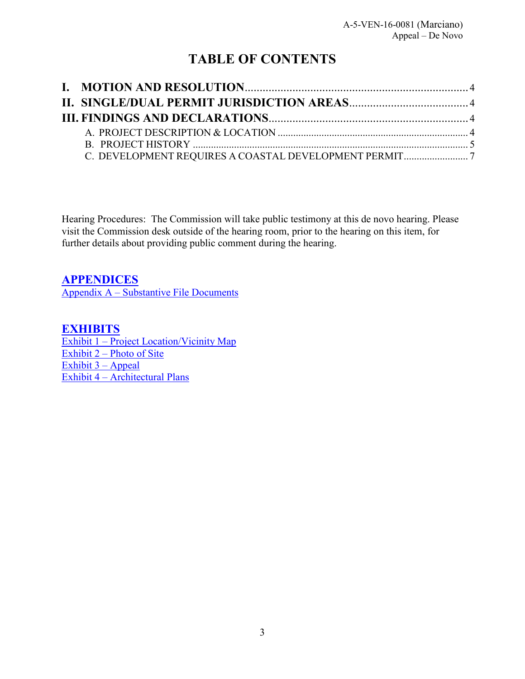# **TABLE OF CONTENTS**

Hearing Procedures: The Commission will take public testimony at this de novo hearing. Please visit the Commission desk outside of the hearing room, prior to the hearing on this item, for further details about providing public comment during the hearing.

**[APPENDICES](#page-10-0)**

Appendix A – [Substantive File Documents](#page-10-0)

**[EXHIBITS](https://documents.coastal.ca.gov/reports/2017/5/f16a/f16a-5-2017-exhibits.pdf)**  Exhibit 1 – Project Location/Vicinity Map Exhibit  $2$  – [Photo of Site](https://documents.coastal.ca.gov/reports/2017/5/f16a/f16a-5-2017-exhibits.pdf) Exhibit  $3 - Appeal$ Exhibit 4 – [Architectural Plans](https://documents.coastal.ca.gov/reports/2017/5/f16a/f16a-5-2017-exhibits.pdf)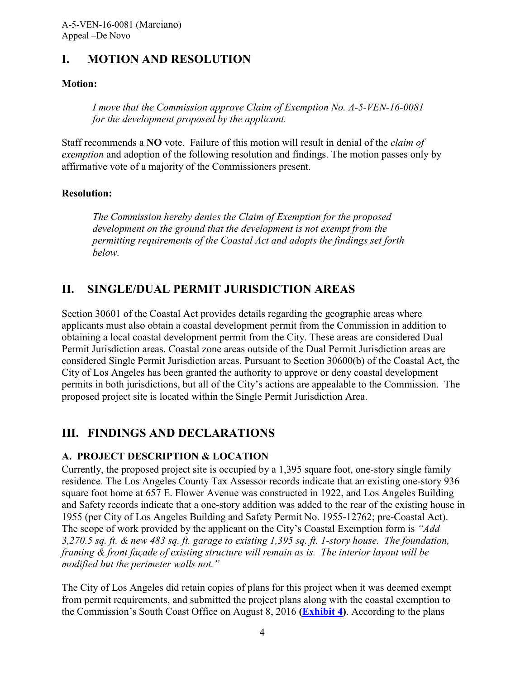## <span id="page-3-0"></span>**I. MOTION AND RESOLUTION**

#### **Motion:**

*I move that the Commission approve Claim of Exemption No. A-5-VEN-16-0081 for the development proposed by the applicant.* 

Staff recommends a **NO** vote. Failure of this motion will result in denial of the *claim of exemption* and adoption of the following resolution and findings. The motion passes only by affirmative vote of a majority of the Commissioners present.

#### **Resolution:**

*The Commission hereby denies the Claim of Exemption for the proposed development on the ground that the development is not exempt from the permitting requirements of the Coastal Act and adopts the findings set forth below.* 

## <span id="page-3-1"></span>**II. SINGLE/DUAL PERMIT JURISDICTION AREAS**

Section 30601 of the Coastal Act provides details regarding the geographic areas where applicants must also obtain a coastal development permit from the Commission in addition to obtaining a local coastal development permit from the City. These areas are considered Dual Permit Jurisdiction areas. Coastal zone areas outside of the Dual Permit Jurisdiction areas are considered Single Permit Jurisdiction areas. Pursuant to Section 30600(b) of the Coastal Act, the City of Los Angeles has been granted the authority to approve or deny coastal development permits in both jurisdictions, but all of the City's actions are appealable to the Commission. The proposed project site is located within the Single Permit Jurisdiction Area.

## <span id="page-3-2"></span>**III. FINDINGS AND DECLARATIONS**

#### <span id="page-3-3"></span>**A. PROJECT DESCRIPTION & LOCATION**

Currently, the proposed project site is occupied by a 1,395 square foot, one-story single family residence. The Los Angeles County Tax Assessor records indicate that an existing one-story 936 square foot home at 657 E. Flower Avenue was constructed in 1922, and Los Angeles Building and Safety records indicate that a one-story addition was added to the rear of the existing house in 1955 (per City of Los Angeles Building and Safety Permit No. 1955-12762; pre-Coastal Act). The scope of work provided by the applicant on the City's Coastal Exemption form is *"Add 3,270.5 sq. ft. & new 483 sq. ft. garage to existing 1,395 sq. ft. 1-story house. The foundation, framing & front façade of existing structure will remain as is. The interior layout will be modified but the perimeter walls not."* 

The City of Los Angeles did retain copies of plans for this project when it was deemed exempt from permit requirements, and submitted the project plans along with the coastal exemption to the Commission's South Coast Office on August 8, 2016 **[\(Exhibit 4\)](https://documents.coastal.ca.gov/reports/2017/5/f16a/f16a-5-2017-exhibits.pdf)**. According to the plans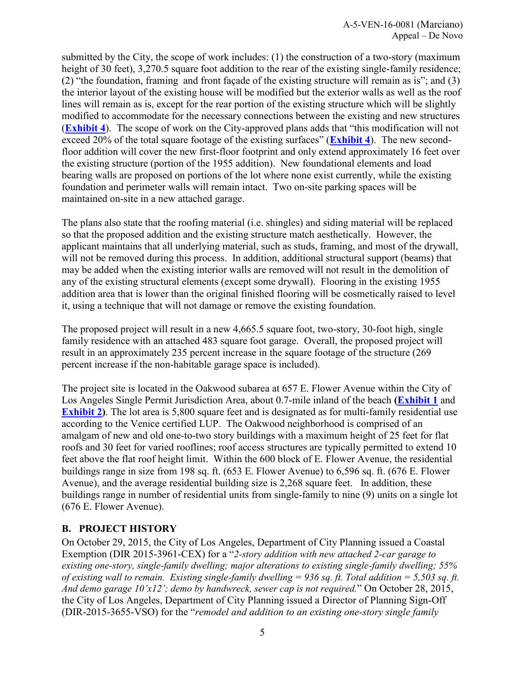submitted by the City, the scope of work includes: (1) the construction of a two-story (maximum height of 30 feet), 3,270.5 square foot addition to the rear of the existing single-family residence; (2) "the foundation, framing and front façade of the existing structure will remain as is"; and (3) the interior layout of the existing house will be modified but the exterior walls as well as the roof lines will remain as is, except for the rear portion of the existing structure which will be slightly modified to accommodate for the necessary connections between the existing and new structures (**[Exhibit 4](https://documents.coastal.ca.gov/reports/2017/5/f16a/f16a-5-2017-exhibits.pdf)**). The scope of work on the City-approved plans adds that "this modification will not exceed 20% of the total square footage of the existing surfaces" (**[Exhibit 4](https://documents.coastal.ca.gov/reports/2017/5/f16a/f16a-5-2017-exhibits.pdf)**). The new secondfloor addition will cover the new first-floor footprint and only extend approximately 16 feet over the existing structure (portion of the 1955 addition). New foundational elements and load bearing walls are proposed on portions of the lot where none exist currently, while the existing foundation and perimeter walls will remain intact. Two on-site parking spaces will be maintained on-site in a new attached garage.

The plans also state that the roofing material (i.e. shingles) and siding material will be replaced so that the proposed addition and the existing structure match aesthetically. However, the applicant maintains that all underlying material, such as studs, framing, and most of the drywall, will not be removed during this process. In addition, additional structural support (beams) that may be added when the existing interior walls are removed will not result in the demolition of any of the existing structural elements (except some drywall). Flooring in the existing 1955 addition area that is lower than the original finished flooring will be cosmetically raised to level it, using a technique that will not damage or remove the existing foundation.

The proposed project will result in a new 4,665.5 square foot, two-story, 30-foot high, single family residence with an attached 483 square foot garage. Overall, the proposed project will result in an approximately 235 percent increase in the square footage of the structure (269 percent increase if the non-habitable garage space is included).

The project site is located in the Oakwood subarea at 657 E. Flower Avenue within the City of Los Angeles Single Permit Jurisdiction Area, about 0.7-mile inland of the beach **[\(Exhibit 1](https://documents.coastal.ca.gov/reports/2017/5/f16a/f16a-5-2017-exhibits.pdf)** and **[Exhibit 2\)](https://documents.coastal.ca.gov/reports/2017/5/f16a/f16a-5-2017-exhibits.pdf)**. The lot area is 5,800 square feet and is designated as for multi-family residential use according to the Venice certified LUP. The Oakwood neighborhood is comprised of an amalgam of new and old one-to-two story buildings with a maximum height of 25 feet for flat roofs and 30 feet for varied rooflines; roof access structures are typically permitted to extend 10 feet above the flat roof height limit. Within the 600 block of E. Flower Avenue, the residential buildings range in size from 198 sq. ft. (653 E. Flower Avenue) to 6,596 sq. ft. (676 E. Flower Avenue), and the average residential building size is 2,268 square feet. In addition, these buildings range in number of residential units from single-family to nine (9) units on a single lot (676 E. Flower Avenue).

#### <span id="page-4-0"></span>**B. PROJECT HISTORY**

On October 29, 2015, the City of Los Angeles, Department of City Planning issued a Coastal Exemption (DIR 2015-3961-CEX) for a "*2-story addition with new attached 2-car garage to existing one-story, single-family dwelling; major alterations to existing single-family dwelling; 55% of existing wall to remain. Existing single-family dwelling = 936 sq. ft. Total addition = 5,503 sq. ft. And demo garage 10'x12'; demo by handwreck, sewer cap is not required.*" On October 28, 2015, the City of Los Angeles, Department of City Planning issued a Director of Planning Sign-Off (DIR-2015-3655-VSO) for the "*remodel and addition to an existing one-story single family*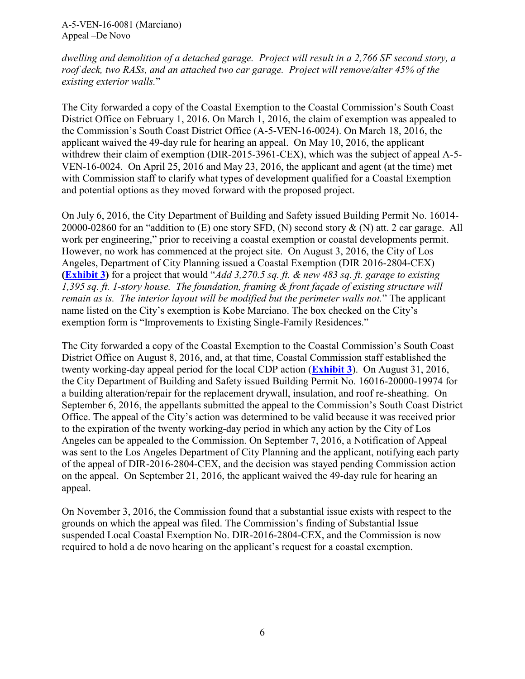A-5-VEN-16-0081 (Marciano) Appeal –De Novo

*dwelling and demolition of a detached garage. Project will result in a 2,766 SF second story, a roof deck, two RASs, and an attached two car garage. Project will remove/alter 45% of the existing exterior walls.*"

The City forwarded a copy of the Coastal Exemption to the Coastal Commission's South Coast District Office on February 1, 2016. On March 1, 2016, the claim of exemption was appealed to the Commission's South Coast District Office (A-5-VEN-16-0024). On March 18, 2016, the applicant waived the 49-day rule for hearing an appeal. On May 10, 2016, the applicant withdrew their claim of exemption (DIR-2015-3961-CEX), which was the subject of appeal A-5-VEN-16-0024. On April 25, 2016 and May 23, 2016, the applicant and agent (at the time) met with Commission staff to clarify what types of development qualified for a Coastal Exemption and potential options as they moved forward with the proposed project.

On July 6, 2016, the City Department of Building and Safety issued Building Permit No. 16014- 20000-02860 for an "addition to (E) one story SFD, (N) second story & (N) att. 2 car garage. All work per engineering," prior to receiving a coastal exemption or coastal developments permit. However, no work has commenced at the project site. On August 3, 2016, the City of Los Angeles, Department of City Planning issued a Coastal Exemption (DIR 2016-2804-CEX) **[\(Exhibit 3\)](https://documents.coastal.ca.gov/reports/2017/5/f16a/f16a-5-2017-exhibits.pdf)** for a project that would "*Add 3,270.5 sq. ft. & new 483 sq. ft. garage to existing 1,395 sq. ft. 1-story house. The foundation, framing & front façade of existing structure will remain as is. The interior layout will be modified but the perimeter walls not.*" The applicant name listed on the City's exemption is Kobe Marciano. The box checked on the City's exemption form is "Improvements to Existing Single-Family Residences."

The City forwarded a copy of the Coastal Exemption to the Coastal Commission's South Coast District Office on August 8, 2016, and, at that time, Coastal Commission staff established the twenty working-day appeal period for the local CDP action (**[Exhibit 3](https://documents.coastal.ca.gov/reports/2017/5/f16a/f16a-5-2017-exhibits.pdf)**). On August 31, 2016, the City Department of Building and Safety issued Building Permit No. 16016-20000-19974 for a building alteration/repair for the replacement drywall, insulation, and roof re-sheathing. On September 6, 2016, the appellants submitted the appeal to the Commission's South Coast District Office. The appeal of the City's action was determined to be valid because it was received prior to the expiration of the twenty working-day period in which any action by the City of Los Angeles can be appealed to the Commission. On September 7, 2016, a Notification of Appeal was sent to the Los Angeles Department of City Planning and the applicant, notifying each party of the appeal of DIR-2016-2804-CEX, and the decision was stayed pending Commission action on the appeal. On September 21, 2016, the applicant waived the 49-day rule for hearing an appeal.

<span id="page-5-0"></span>On November 3, 2016, the Commission found that a substantial issue exists with respect to the grounds on which the appeal was filed. The Commission's finding of Substantial Issue suspended Local Coastal Exemption No. DIR-2016-2804-CEX, and the Commission is now required to hold a de novo hearing on the applicant's request for a coastal exemption.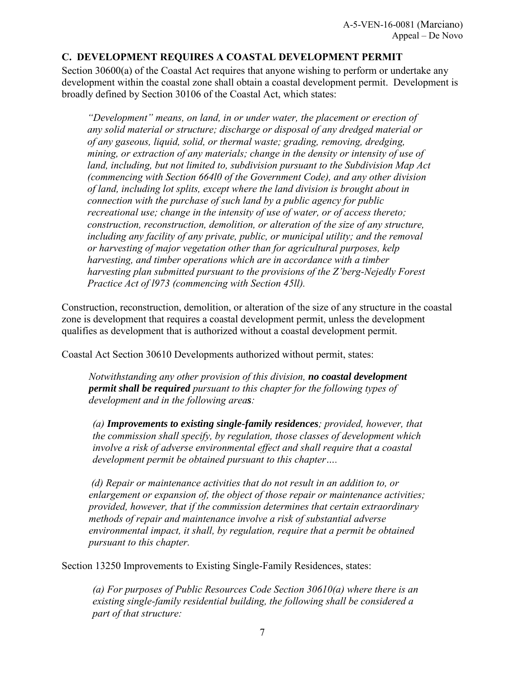#### **C. DEVELOPMENT REQUIRES A COASTAL DEVELOPMENT PERMIT**

Section 30600(a) of the Coastal Act requires that anyone wishing to perform or undertake any development within the coastal zone shall obtain a coastal development permit. Development is broadly defined by Section 30106 of the Coastal Act, which states:

*"Development" means, on land, in or under water, the placement or erection of any solid material or structure; discharge or disposal of any dredged material or of any gaseous, liquid, solid, or thermal waste; grading, removing, dredging, mining, or extraction of any materials; change in the density or intensity of use of land, including, but not limited to, subdivision pursuant to the Subdivision Map Act (commencing with Section 664l0 of the Government Code), and any other division of land, including lot splits, except where the land division is brought about in connection with the purchase of such land by a public agency for public recreational use; change in the intensity of use of water, or of access thereto; construction, reconstruction, demolition, or alteration of the size of any structure, including any facility of any private, public, or municipal utility; and the removal or harvesting of major vegetation other than for agricultural purposes, kelp harvesting, and timber operations which are in accordance with a timber harvesting plan submitted pursuant to the provisions of the Z'berg-Nejedly Forest Practice Act of l973 (commencing with Section 45ll).* 

Construction, reconstruction, demolition, or alteration of the size of any structure in the coastal zone is development that requires a coastal development permit, unless the development qualifies as development that is authorized without a coastal development permit.

Coastal Act Section 30610 Developments authorized without permit, states:

*Notwithstanding any other provision of this division, no coastal development permit shall be required pursuant to this chapter for the following types of development and in the following areas:* 

*(a) Improvements to existing single-family residences; provided, however, that the commission shall specify, by regulation, those classes of development which involve a risk of adverse environmental effect and shall require that a coastal development permit be obtained pursuant to this chapter….* 

*(d) Repair or maintenance activities that do not result in an addition to, or enlargement or expansion of, the object of those repair or maintenance activities; provided, however, that if the commission determines that certain extraordinary methods of repair and maintenance involve a risk of substantial adverse environmental impact, it shall, by regulation, require that a permit be obtained pursuant to this chapter.* 

Section 13250 Improvements to Existing Single-Family Residences, states:

*(a) For purposes of Public Resources Code Section 30610(a) where there is an existing single-family residential building, the following shall be considered a part of that structure:*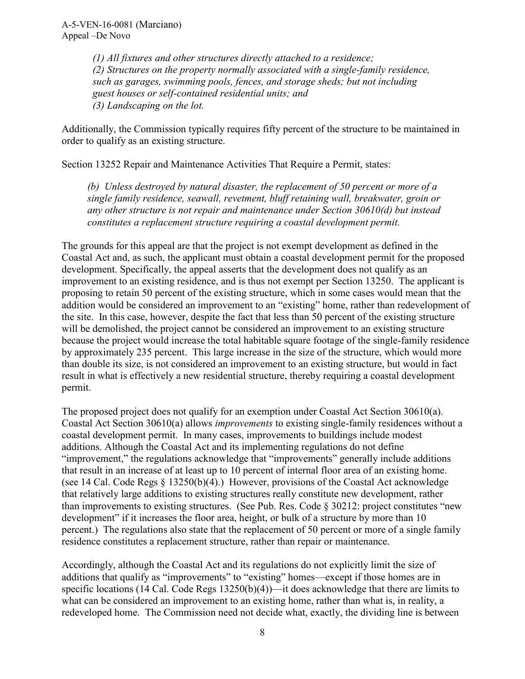*(1) All fixtures and other structures directly attached to a residence; (2) Structures on the property normally associated with a single-family residence, such as garages, swimming pools, fences, and storage sheds; but not including guest houses or self-contained residential units; and (3) Landscaping on the lot.* 

Additionally, the Commission typically requires fifty percent of the structure to be maintained in order to qualify as an existing structure.

Section 13252 Repair and Maintenance Activities That Require a Permit, states:

*(b) Unless destroyed by natural disaster, the replacement of 50 percent or more of a single family residence, seawall, revetment, bluff retaining wall, breakwater, groin or any other structure is not repair and maintenance under Section 30610(d) but instead constitutes a replacement structure requiring a coastal development permit.*

The grounds for this appeal are that the project is not exempt development as defined in the Coastal Act and, as such, the applicant must obtain a coastal development permit for the proposed development. Specifically, the appeal asserts that the development does not qualify as an improvement to an existing residence, and is thus not exempt per Section 13250. The applicant is proposing to retain 50 percent of the existing structure, which in some cases would mean that the addition would be considered an improvement to an "existing" home, rather than redevelopment of the site. In this case, however, despite the fact that less than 50 percent of the existing structure will be demolished, the project cannot be considered an improvement to an existing structure because the project would increase the total habitable square footage of the single-family residence by approximately 235 percent. This large increase in the size of the structure, which would more than double its size, is not considered an improvement to an existing structure, but would in fact result in what is effectively a new residential structure, thereby requiring a coastal development permit.

The proposed project does not qualify for an exemption under Coastal Act Section 30610(a). Coastal Act Section 30610(a) allows *improvements* to existing single-family residences without a coastal development permit. In many cases, improvements to buildings include modest additions. Although the Coastal Act and its implementing regulations do not define "improvement," the regulations acknowledge that "improvements" generally include additions that result in an increase of at least up to 10 percent of internal floor area of an existing home. (see 14 Cal. Code Regs § 13250(b)(4).) However, provisions of the Coastal Act acknowledge that relatively large additions to existing structures really constitute new development, rather than improvements to existing structures. (See Pub. Res. Code § 30212: project constitutes "new development" if it increases the floor area, height, or bulk of a structure by more than 10 percent.) The regulations also state that the replacement of 50 percent or more of a single family residence constitutes a replacement structure, rather than repair or maintenance.

Accordingly, although the Coastal Act and its regulations do not explicitly limit the size of additions that qualify as "improvements" to "existing" homes—except if those homes are in specific locations (14 Cal. Code Regs 13250(b)(4))—it does acknowledge that there are limits to what can be considered an improvement to an existing home, rather than what is, in reality, a redeveloped home. The Commission need not decide what, exactly, the dividing line is between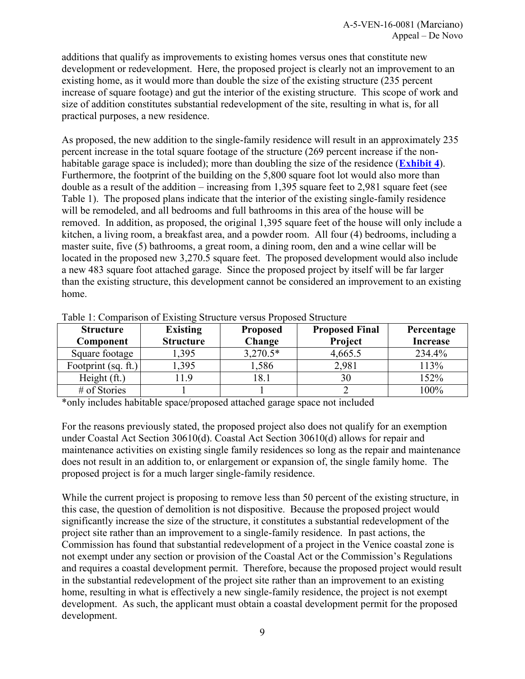additions that qualify as improvements to existing homes versus ones that constitute new development or redevelopment. Here, the proposed project is clearly not an improvement to an existing home, as it would more than double the size of the existing structure (235 percent increase of square footage) and gut the interior of the existing structure. This scope of work and size of addition constitutes substantial redevelopment of the site, resulting in what is, for all practical purposes, a new residence.

As proposed, the new addition to the single-family residence will result in an approximately 235 percent increase in the total square footage of the structure (269 percent increase if the nonhabitable garage space is included); more than doubling the size of the residence (**[Exhibit 4](https://documents.coastal.ca.gov/reports/2017/5/f16a/f16a-5-2017-exhibits.pdf)**). Furthermore, the footprint of the building on the 5,800 square foot lot would also more than double as a result of the addition – increasing from 1,395 square feet to 2,981 square feet (see Table 1). The proposed plans indicate that the interior of the existing single-family residence will be remodeled, and all bedrooms and full bathrooms in this area of the house will be removed. In addition, as proposed, the original 1,395 square feet of the house will only include a kitchen, a living room, a breakfast area, and a powder room. All four (4) bedrooms, including a master suite, five (5) bathrooms, a great room, a dining room, den and a wine cellar will be located in the proposed new 3,270.5 square feet. The proposed development would also include a new 483 square foot attached garage. Since the proposed project by itself will be far larger than the existing structure, this development cannot be considered an improvement to an existing home.

| <b>Structure</b>    | <b>Existing</b>  | <b>Proposed</b> | <b>Proposed Final</b> | Percentage      |
|---------------------|------------------|-----------------|-----------------------|-----------------|
| Component           | <b>Structure</b> | Change          | Project               | <b>Increase</b> |
| Square footage      | 1,395            | $3,270.5*$      | 4,665.5               | 234.4%          |
| Footprint (sq. ft.) | 1,395            | 1,586           | 2,981                 | 113%            |
| Height (ft.)        | .1.9             | 18.1            | 30                    | 152%            |
| # of Stories        |                  |                 |                       | 100%            |
|                     |                  |                 |                       |                 |

Table 1: Comparison of Existing Structure versus Proposed Structure

\*only includes habitable space/proposed attached garage space not included

For the reasons previously stated, the proposed project also does not qualify for an exemption under Coastal Act Section 30610(d). Coastal Act Section 30610(d) allows for repair and maintenance activities on existing single family residences so long as the repair and maintenance does not result in an addition to, or enlargement or expansion of, the single family home. The proposed project is for a much larger single-family residence.

While the current project is proposing to remove less than 50 percent of the existing structure, in this case, the question of demolition is not dispositive. Because the proposed project would significantly increase the size of the structure, it constitutes a substantial redevelopment of the project site rather than an improvement to a single-family residence. In past actions, the Commission has found that substantial redevelopment of a project in the Venice coastal zone is not exempt under any section or provision of the Coastal Act or the Commission's Regulations and requires a coastal development permit. Therefore, because the proposed project would result in the substantial redevelopment of the project site rather than an improvement to an existing home, resulting in what is effectively a new single-family residence, the project is not exempt development. As such, the applicant must obtain a coastal development permit for the proposed development.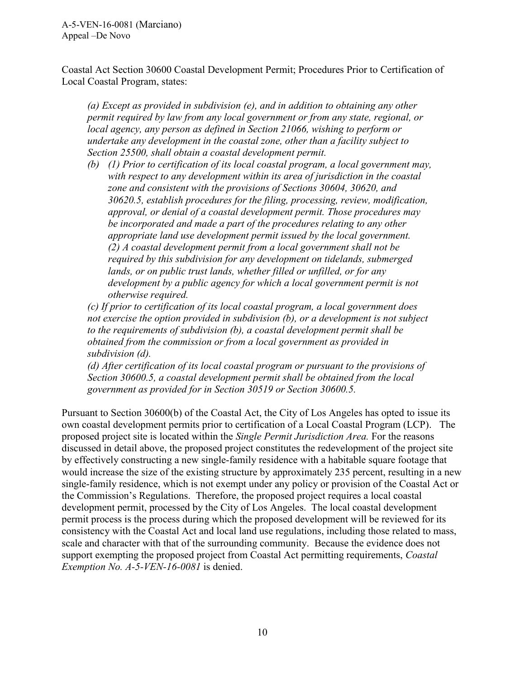Coastal Act Section 30600 Coastal Development Permit; Procedures Prior to Certification of Local Coastal Program, states:

*(a) Except as provided in subdivision (e), and in addition to obtaining any other permit required by law from any local government or from any state, regional, or local agency, any person as defined in Section 21066, wishing to perform or undertake any development in the coastal zone, other than a facility subject to Section 25500, shall obtain a coastal development permit.* 

*(b) (1) Prior to certification of its local coastal program, a local government may, with respect to any development within its area of jurisdiction in the coastal zone and consistent with the provisions of Sections 30604, 30620, and 30620.5, establish procedures for the filing, processing, review, modification, approval, or denial of a coastal development permit. Those procedures may be incorporated and made a part of the procedures relating to any other appropriate land use development permit issued by the local government. (2) A coastal development permit from a local government shall not be required by this subdivision for any development on tidelands, submerged lands, or on public trust lands, whether filled or unfilled, or for any development by a public agency for which a local government permit is not otherwise required.* 

*(c) If prior to certification of its local coastal program, a local government does not exercise the option provided in subdivision (b), or a development is not subject to the requirements of subdivision (b), a coastal development permit shall be obtained from the commission or from a local government as provided in subdivision (d).* 

*(d) After certification of its local coastal program or pursuant to the provisions of Section 30600.5, a coastal development permit shall be obtained from the local government as provided for in Section 30519 or Section 30600.5.* 

Pursuant to Section 30600(b) of the Coastal Act, the City of Los Angeles has opted to issue its own coastal development permits prior to certification of a Local Coastal Program (LCP). The proposed project site is located within the *Single Permit Jurisdiction Area.* For the reasons discussed in detail above, the proposed project constitutes the redevelopment of the project site by effectively constructing a new single-family residence with a habitable square footage that would increase the size of the existing structure by approximately 235 percent, resulting in a new single-family residence, which is not exempt under any policy or provision of the Coastal Act or the Commission's Regulations. Therefore, the proposed project requires a local coastal development permit, processed by the City of Los Angeles. The local coastal development permit process is the process during which the proposed development will be reviewed for its consistency with the Coastal Act and local land use regulations, including those related to mass, scale and character with that of the surrounding community. Because the evidence does not support exempting the proposed project from Coastal Act permitting requirements, *Coastal Exemption No. A-5-VEN-16-0081* is denied.